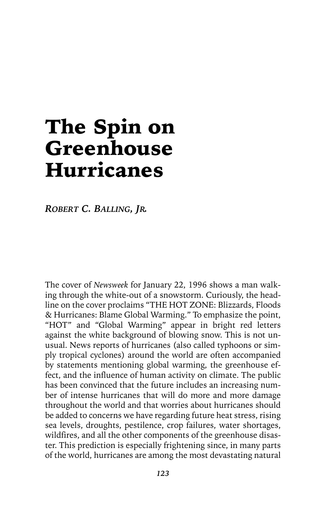# The Spin on Greenhouse Hurricanes

*ROBERT C. BALLING, JR.*

The cover of *Newsweek* for January 22, 1996 shows a man walking through the white-out of a snowstorm. Curiously, the headline on the cover proclaims "THE HOT ZONE: Blizzards, Floods & Hurricanes: Blame Global Warming." To emphasize the point, "HOT" and "Global Warming" appear in bright red letters against the white background of blowing snow. This is not unusual. News reports of hurricanes (also called typhoons or simply tropical cyclones) around the world are often accompanied by statements mentioning global warming, the greenhouse effect, and the influence of human activity on climate. The public has been convinced that the future includes an increasing number of intense hurricanes that will do more and more damage throughout the world and that worries about hurricanes should be added to concerns we have regarding future heat stress, rising sea levels, droughts, pestilence, crop failures, water shortages, wildfires, and all the other components of the greenhouse disaster. This prediction is especially frightening since, in many parts of the world, hurricanes are among the most devastating natural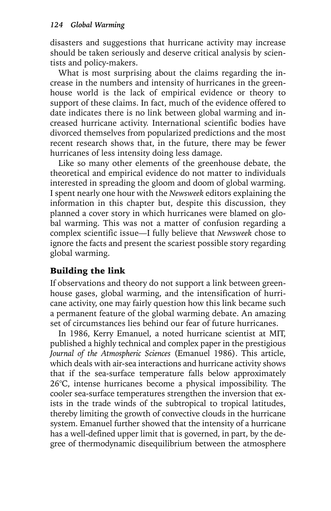disasters and suggestions that hurricane activity may increase should be taken seriously and deserve critical analysis by scientists and policy-makers.

What is most surprising about the claims regarding the increase in the numbers and intensity of hurricanes in the greenhouse world is the lack of empirical evidence or theory to support of these claims. In fact, much of the evidence offered to date indicates there is no link between global warming and increased hurricane activity. International scientific bodies have divorced themselves from popularized predictions and the most recent research shows that, in the future, there may be fewer hurricanes of less intensity doing less damage.

Like so many other elements of the greenhouse debate, the theoretical and empirical evidence do not matter to individuals interested in spreading the gloom and doom of global warming. I spent nearly one hour with the *Newsweek* editors explaining the information in this chapter but, despite this discussion, they planned a cover story in which hurricanes were blamed on global warming. This was not a matter of confusion regarding a complex scientific issue—I fully believe that *Newsweek* chose to ignore the facts and present the scariest possible story regarding global warming.

# Building the link

If observations and theory do not support a link between greenhouse gases, global warming, and the intensification of hurricane activity, one may fairly question how this link became such a permanent feature of the global warming debate. An amazing set of circumstances lies behind our fear of future hurricanes.

In 1986, Kerry Emanuel, a noted hurricane scientist at MIT, published a highly technical and complex paper in the prestigious *Journal of the Atmospheric Sciences* (Emanuel 1986). This article, which deals with air-sea interactions and hurricane activity shows that if the sea-surface temperature falls below approximately 26°C, intense hurricanes become a physical impossibility. The cooler sea-surface temperatures strengthen the inversion that exists in the trade winds of the subtropical to tropical latitudes, thereby limiting the growth of convective clouds in the hurricane system. Emanuel further showed that the intensity of a hurricane has a well-defined upper limit that is governed, in part, by the degree of thermodynamic disequilibrium between the atmosphere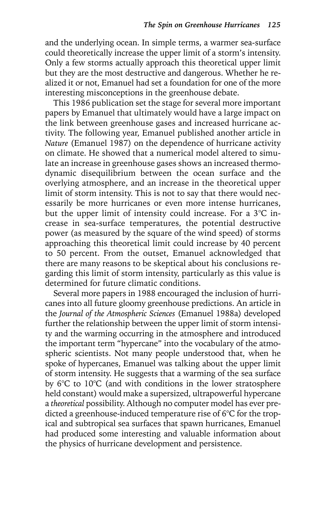and the underlying ocean. In simple terms, a warmer sea-surface could theoretically increase the upper limit of a storm's intensity. Only a few storms actually approach this theoretical upper limit but they are the most destructive and dangerous. Whether he realized it or not, Emanuel had set a foundation for one of the more interesting misconceptions in the greenhouse debate.

This 1986 publication set the stage for several more important papers by Emanuel that ultimately would have a large impact on the link between greenhouse gases and increased hurricane activity. The following year, Emanuel published another article in *Nature* (Emanuel 1987) on the dependence of hurricane activity on climate. He showed that a numerical model altered to simulate an increase in greenhouse gases shows an increased thermodynamic disequilibrium between the ocean surface and the overlying atmosphere, and an increase in the theoretical upper limit of storm intensity. This is not to say that there would necessarily be more hurricanes or even more intense hurricanes, but the upper limit of intensity could increase. For a 3°C increase in sea-surface temperatures, the potential destructive power (as measured by the square of the wind speed) of storms approaching this theoretical limit could increase by 40 percent to 50 percent. From the outset, Emanuel acknowledged that there are many reasons to be skeptical about his conclusions regarding this limit of storm intensity, particularly as this value is determined for future climatic conditions.

Several more papers in 1988 encouraged the inclusion of hurricanes into all future gloomy greenhouse predictions. An article in the *Journal of the Atmospheric Sciences* (Emanuel 1988a) developed further the relationship between the upper limit of storm intensity and the warming occurring in the atmosphere and introduced the important term "hypercane" into the vocabulary of the atmospheric scientists. Not many people understood that, when he spoke of hypercanes, Emanuel was talking about the upper limit of storm intensity. He suggests that a warming of the sea surface by 6°C to 10°C (and with conditions in the lower stratosphere held constant) would make a supersized, ultrapowerful hypercane a *theoretical* possibility. Although no computer model has ever predicted a greenhouse-induced temperature rise of 6°C for the tropical and subtropical sea surfaces that spawn hurricanes, Emanuel had produced some interesting and valuable information about the physics of hurricane development and persistence.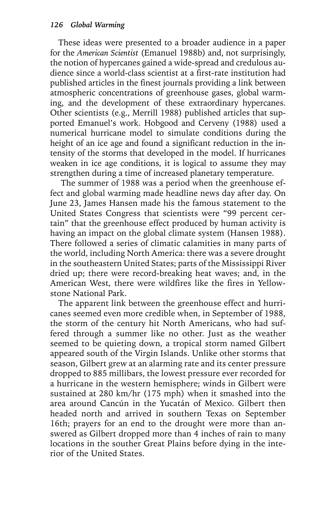These ideas were presented to a broader audience in a paper for the *American Scientist* (Emanuel 1988b) and, not surprisingly, the notion of hypercanes gained a wide-spread and credulous audience since a world-class scientist at a first-rate institution had published articles in the finest journals providing a link between atmospheric concentrations of greenhouse gases, global warming, and the development of these extraordinary hypercanes. Other scientists (e.g., Merrill 1988) published articles that supported Emanuel's work. Hobgood and Cerveny (1988) used a numerical hurricane model to simulate conditions during the height of an ice age and found a significant reduction in the intensity of the storms that developed in the model. If hurricanes weaken in ice age conditions, it is logical to assume they may strengthen during a time of increased planetary temperature.

 The summer of 1988 was a period when the greenhouse effect and global warming made headline news day after day. On June 23, James Hansen made his the famous statement to the United States Congress that scientists were "99 percent certain" that the greenhouse effect produced by human activity is having an impact on the global climate system (Hansen 1988). There followed a series of climatic calamities in many parts of the world, including North America: there was a severe drought in the southeastern United States; parts of the Mississippi River dried up; there were record-breaking heat waves; and, in the American West, there were wildfires like the fires in Yellowstone National Park.

The apparent link between the greenhouse effect and hurricanes seemed even more credible when, in September of 1988, the storm of the century hit North Americans, who had suffered through a summer like no other. Just as the weather seemed to be quieting down, a tropical storm named Gilbert appeared south of the Virgin Islands. Unlike other storms that season, Gilbert grew at an alarming rate and its center pressure dropped to 885 millibars, the lowest pressure ever recorded for a hurricane in the western hemisphere; winds in Gilbert were sustained at 280 km/hr (175 mph) when it smashed into the area around Cancún in the Yucatán of Mexico. Gilbert then headed north and arrived in southern Texas on September 16th; prayers for an end to the drought were more than answered as Gilbert dropped more than 4 inches of rain to many locations in the souther Great Plains before dying in the interior of the United States.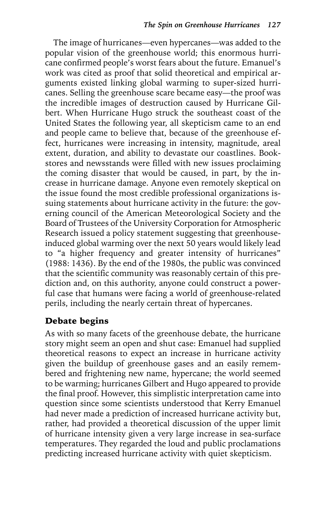The image of hurricanes—even hypercanes—was added to the popular vision of the greenhouse world; this enormous hurricane confirmed people's worst fears about the future. Emanuel's work was cited as proof that solid theoretical and empirical arguments existed linking global warming to super-sized hurricanes. Selling the greenhouse scare became easy—the proof was the incredible images of destruction caused by Hurricane Gilbert. When Hurricane Hugo struck the southeast coast of the United States the following year, all skepticism came to an end and people came to believe that, because of the greenhouse effect, hurricanes were increasing in intensity, magnitude, areal extent, duration, and ability to devastate our coastlines. Bookstores and newsstands were filled with new issues proclaiming the coming disaster that would be caused, in part, by the increase in hurricane damage. Anyone even remotely skeptical on the issue found the most credible professional organizations issuing statements about hurricane activity in the future: the governing council of the American Meteorological Society and the Board of Trustees of the University Corporation for Atmospheric Research issued a policy statement suggesting that greenhouseinduced global warming over the next 50 years would likely lead to "a higher frequency and greater intensity of hurricanes" (1988: 1436). By the end of the 1980s, the public was convinced that the scientific community was reasonably certain of this prediction and, on this authority, anyone could construct a powerful case that humans were facing a world of greenhouse-related perils, including the nearly certain threat of hypercanes.

#### Debate begins

As with so many facets of the greenhouse debate, the hurricane story might seem an open and shut case: Emanuel had supplied theoretical reasons to expect an increase in hurricane activity given the buildup of greenhouse gases and an easily remembered and frightening new name, hypercane; the world seemed to be warming; hurricanes Gilbert and Hugo appeared to provide the final proof. However, this simplistic interpretation came into question since some scientists understood that Kerry Emanuel had never made a prediction of increased hurricane activity but, rather, had provided a theoretical discussion of the upper limit of hurricane intensity given a very large increase in sea-surface temperatures. They regarded the loud and public proclamations predicting increased hurricane activity with quiet skepticism.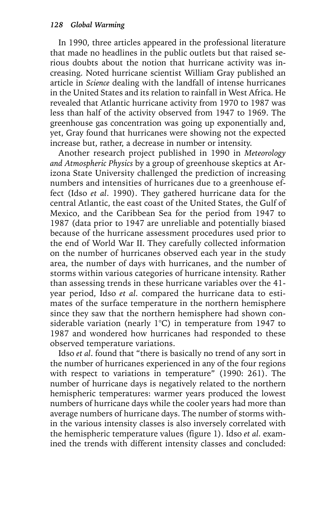In 1990, three articles appeared in the professional literature that made no headlines in the public outlets but that raised serious doubts about the notion that hurricane activity was increasing. Noted hurricane scientist William Gray published an article in *Science* dealing with the landfall of intense hurricanes in the United States and its relation to rainfall in West Africa. He revealed that Atlantic hurricane activity from 1970 to 1987 was less than half of the activity observed from 1947 to 1969. The greenhouse gas concentration was going up exponentially and, yet, Gray found that hurricanes were showing not the expected increase but, rather, a decrease in number or intensity.

Another research project published in 1990 in *Meteorology and Atmospheric Physics* by a group of greenhouse skeptics at Arizona State University challenged the prediction of increasing numbers and intensities of hurricanes due to a greenhouse effect (Idso *et al*. 1990). They gathered hurricane data for the central Atlantic, the east coast of the United States, the Gulf of Mexico, and the Caribbean Sea for the period from 1947 to 1987 (data prior to 1947 are unreliable and potentially biased because of the hurricane assessment procedures used prior to the end of World War II. They carefully collected information on the number of hurricanes observed each year in the study area, the number of days with hurricanes, and the number of storms within various categories of hurricane intensity. Rather than assessing trends in these hurricane variables over the 41 year period, Idso *et al*. compared the hurricane data to estimates of the surface temperature in the northern hemisphere since they saw that the northern hemisphere had shown considerable variation (nearly 1°C) in temperature from 1947 to 1987 and wondered how hurricanes had responded to these observed temperature variations.

Idso *et al*. found that "there is basically no trend of any sort in the number of hurricanes experienced in any of the four regions with respect to variations in temperature" (1990: 261). The number of hurricane days is negatively related to the northern hemispheric temperatures: warmer years produced the lowest numbers of hurricane days while the cooler years had more than average numbers of hurricane days. The number of storms within the various intensity classes is also inversely correlated with the hemispheric temperature values (figure 1). Idso *et al*. examined the trends with different intensity classes and concluded: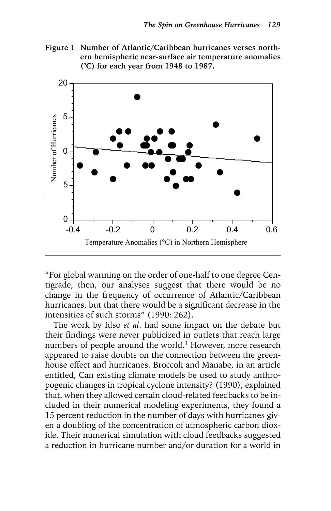



"For global warming on the order of one-half to one degree Centigrade, then, our analyses suggest that there would be no change in the frequency of occurrence of Atlantic/Caribbean hurricanes, but that there would be a significant decrease in the intensities of such storms" (1990: 262).

The work by Idso *et al*. had some impact on the debate but their findings were never publicized in outlets that reach large numbers of people around the world.<sup>1</sup> However, more research appeared to raise doubts on the connection between the greenhouse effect and hurricanes. Broccoli and Manabe, in an article entitled, Can existing climate models be used to study anthropogenic changes in tropical cyclone intensity? (1990), explained that, when they allowed certain cloud-related feedbacks to be included in their numerical modeling experiments, they found a 15 percent reduction in the number of days with hurricanes given a doubling of the concentration of atmospheric carbon dioxide. Their numerical simulation with cloud feedbacks suggested a reduction in hurricane number and/or duration for a world in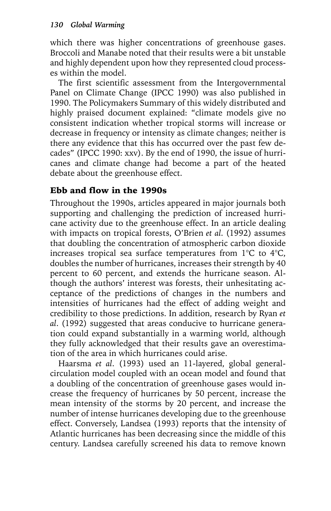which there was higher concentrations of greenhouse gases. Broccoli and Manabe noted that their results were a bit unstable and highly dependent upon how they represented cloud processes within the model.

The first scientific assessment from the Intergovernmental Panel on Climate Change (IPCC 1990) was also published in 1990. The Policymakers Summary of this widely distributed and highly praised document explained: "climate models give no consistent indication whether tropical storms will increase or decrease in frequency or intensity as climate changes; neither is there any evidence that this has occurred over the past few decades" (IPCC 1990: xxv). By the end of 1990, the issue of hurricanes and climate change had become a part of the heated debate about the greenhouse effect.

# Ebb and flow in the 1990s

Throughout the 1990s, articles appeared in major journals both supporting and challenging the prediction of increased hurricane activity due to the greenhouse effect. In an article dealing with impacts on tropical forests, O'Brien *et al*. (1992) assumes that doubling the concentration of atmospheric carbon dioxide increases tropical sea surface temperatures from 1°C to 4°C, doubles the number of hurricanes, increases their strength by 40 percent to 60 percent, and extends the hurricane season. Although the authors' interest was forests, their unhesitating acceptance of the predictions of changes in the numbers and intensities of hurricanes had the effect of adding weight and credibility to those predictions. In addition, research by Ryan *et al*. (1992) suggested that areas conducive to hurricane generation could expand substantially in a warming world, although they fully acknowledged that their results gave an overestimation of the area in which hurricanes could arise.

Haarsma *et al*. (1993) used an 11-layered, global generalcirculation model coupled with an ocean model and found that a doubling of the concentration of greenhouse gases would increase the frequency of hurricanes by 50 percent, increase the mean intensity of the storms by 20 percent, and increase the number of intense hurricanes developing due to the greenhouse effect. Conversely, Landsea (1993) reports that the intensity of Atlantic hurricanes has been decreasing since the middle of this century. Landsea carefully screened his data to remove known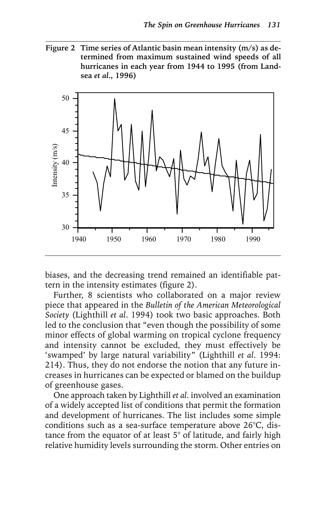**Figure 2 Time series of Atlantic basin mean intensity (m/s) as determined from maximum sustained wind speeds of all hurricanes in each year from 1944 to 1995 (from Landsea** *et al***., 1996)**



biases, and the decreasing trend remained an identifiable pattern in the intensity estimates (figure 2).

Further, 8 scientists who collaborated on a major review piece that appeared in the *Bulletin of the American Meteorological Society* (Lighthill *et al*. 1994) took two basic approaches. Both led to the conclusion that "even though the possibility of some minor effects of global warming on tropical cyclone frequency and intensity cannot be excluded, they must effectively be 'swamped' by large natural variability" (Lighthill *et al*. 1994: 214). Thus, they do not endorse the notion that any future increases in hurricanes can be expected or blamed on the buildup of greenhouse gases.

One approach taken by Lighthill *et al*. involved an examination of a widely accepted list of conditions that permit the formation and development of hurricanes. The list includes some simple conditions such as a sea-surface temperature above 26°C, distance from the equator of at least 5° of latitude, and fairly high relative humidity levels surrounding the storm. Other entries on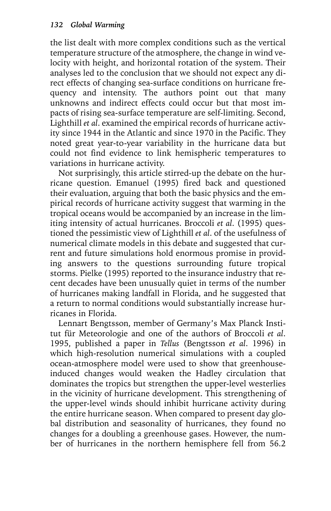the list dealt with more complex conditions such as the vertical temperature structure of the atmosphere, the change in wind velocity with height, and horizontal rotation of the system. Their analyses led to the conclusion that we should not expect any direct effects of changing sea-surface conditions on hurricane frequency and intensity. The authors point out that many unknowns and indirect effects could occur but that most impacts of rising sea-surface temperature are self-limiting. Second, Lighthill *et al*. examined the empirical records of hurricane activity since 1944 in the Atlantic and since 1970 in the Pacific. They noted great year-to-year variability in the hurricane data but could not find evidence to link hemispheric temperatures to variations in hurricane activity.

Not surprisingly, this article stirred-up the debate on the hurricane question. Emanuel (1995) fired back and questioned their evaluation, arguing that both the basic physics and the empirical records of hurricane activity suggest that warming in the tropical oceans would be accompanied by an increase in the limiting intensity of actual hurricanes. Broccoli *et al*. (1995) questioned the pessimistic view of Lighthill *et al*. of the usefulness of numerical climate models in this debate and suggested that current and future simulations hold enormous promise in providing answers to the questions surrounding future tropical storms. Pielke (1995) reported to the insurance industry that recent decades have been unusually quiet in terms of the number of hurricanes making landfall in Florida, and he suggested that a return to normal conditions would substantially increase hurricanes in Florida.

Lennart Bengtsson, member of Germany's Max Planck Institut für Meteorologie and one of the authors of Broccoli *et al*. 1995, published a paper in *Tellus* (Bengtsson *et al*. 1996) in which high-resolution numerical simulations with a coupled ocean-atmosphere model were used to show that greenhouseinduced changes would weaken the Hadley circulation that dominates the tropics but strengthen the upper-level westerlies in the vicinity of hurricane development. This strengthening of the upper-level winds should inhibit hurricane activity during the entire hurricane season. When compared to present day global distribution and seasonality of hurricanes, they found no changes for a doubling a greenhouse gases. However, the number of hurricanes in the northern hemisphere fell from 56.2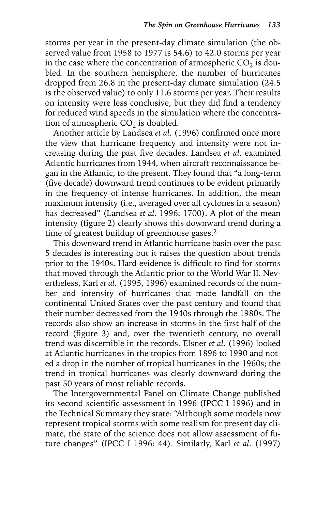storms per year in the present-day climate simulation (the observed value from 1958 to 1977 is 54.6) to 42.0 storms per year in the case where the concentration of atmospheric  $CO<sub>2</sub>$  is doubled. In the southern hemisphere, the number of hurricanes dropped from 26.8 in the present-day climate simulation (24.5 is the observed value) to only 11.6 storms per year. Their results on intensity were less conclusive, but they did find a tendency for reduced wind speeds in the simulation where the concentration of atmospheric  $CO<sub>2</sub>$  is doubled.

Another article by Landsea *et al*. (1996) confirmed once more the view that hurricane frequency and intensity were not increasing during the past five decades. Landsea *et al*. examined Atlantic hurricanes from 1944, when aircraft reconnaissance began in the Atlantic, to the present. They found that "a long-term (five decade) downward trend continues to be evident primarily in the frequency of intense hurricanes. In addition, the mean maximum intensity (i.e., averaged over all cyclones in a season) has decreased" (Landsea *et al*. 1996: 1700). A plot of the mean intensity (figure 2) clearly shows this downward trend during a time of greatest buildup of greenhouse gases.<sup>2</sup>

This downward trend in Atlantic hurricane basin over the past 5 decades is interesting but it raises the question about trends prior to the 1940s. Hard evidence is difficult to find for storms that moved through the Atlantic prior to the World War II. Nevertheless, Karl *et al*. (1995, 1996) examined records of the number and intensity of hurricanes that made landfall on the continental United States over the past century and found that their number decreased from the 1940s through the 1980s. The records also show an increase in storms in the first half of the record (figure 3) and, over the twentieth century, no overall trend was discernible in the records. Elsner *et al*. (1996) looked at Atlantic hurricanes in the tropics from 1896 to 1990 and noted a drop in the number of tropical hurricanes in the 1960s; the trend in tropical hurricanes was clearly downward during the past 50 years of most reliable records.

The Intergovernmental Panel on Climate Change published its second scientific assessment in 1996 (IPCC I 1996) and in the Technical Summary they state: "Although some models now represent tropical storms with some realism for present day climate, the state of the science does not allow assessment of future changes" (IPCC I 1996: 44). Similarly, Karl *et al*. (1997)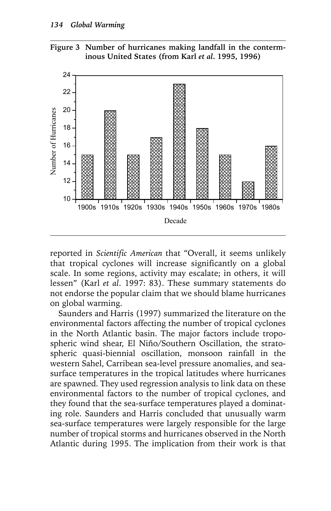



reported in *Scientific American* that "Overall, it seems unlikely that tropical cyclones will increase significantly on a global scale. In some regions, activity may escalate; in others, it will lessen" (Karl *et al*. 1997: 83). These summary statements do not endorse the popular claim that we should blame hurricanes on global warming.

Saunders and Harris (1997) summarized the literature on the environmental factors affecting the number of tropical cyclones in the North Atlantic basin. The major factors include tropospheric wind shear, El Niño/Southern Oscillation, the stratospheric quasi-biennial oscillation, monsoon rainfall in the western Sahel, Carribean sea-level pressure anomalies, and seasurface temperatures in the tropical latitudes where hurricanes are spawned. They used regression analysis to link data on these environmental factors to the number of tropical cyclones, and they found that the sea-surface temperatures played a dominating role. Saunders and Harris concluded that unusually warm sea-surface temperatures were largely responsible for the large number of tropical storms and hurricanes observed in the North Atlantic during 1995. The implication from their work is that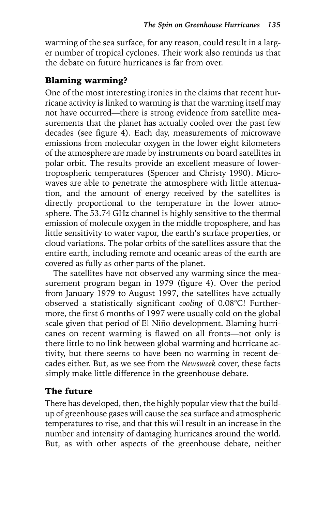warming of the sea surface, for any reason, could result in a larger number of tropical cyclones. Their work also reminds us that the debate on future hurricanes is far from over.

#### Blaming warming?

One of the most interesting ironies in the claims that recent hurricane activity is linked to warming is that the warming itself may not have occurred—there is strong evidence from satellite measurements that the planet has actually cooled over the past few decades (see figure 4). Each day, measurements of microwave emissions from molecular oxygen in the lower eight kilometers of the atmosphere are made by instruments on board satellites in polar orbit. The results provide an excellent measure of lowertropospheric temperatures (Spencer and Christy 1990). Microwaves are able to penetrate the atmosphere with little attenuation, and the amount of energy received by the satellites is directly proportional to the temperature in the lower atmosphere. The 53.74 GHz channel is highly sensitive to the thermal emission of molecule oxygen in the middle troposphere, and has little sensitivity to water vapor, the earth's surface properties, or cloud variations. The polar orbits of the satellites assure that the entire earth, including remote and oceanic areas of the earth are covered as fully as other parts of the planet.

The satellites have not observed any warming since the measurement program began in 1979 (figure 4). Over the period from January 1979 to August 1997, the satellites have actually observed a statistically significant *cooling* of 0.08°C! Furthermore, the first 6 months of 1997 were usually cold on the global scale given that period of El Niño development. Blaming hurricanes on recent warming is flawed on all fronts—not only is there little to no link between global warming and hurricane activity, but there seems to have been no warming in recent decades either. But, as we see from the *Newsweek* cover, these facts simply make little difference in the greenhouse debate.

### The future

There has developed, then, the highly popular view that the buildup of greenhouse gases will cause the sea surface and atmospheric temperatures to rise, and that this will result in an increase in the number and intensity of damaging hurricanes around the world. But, as with other aspects of the greenhouse debate, neither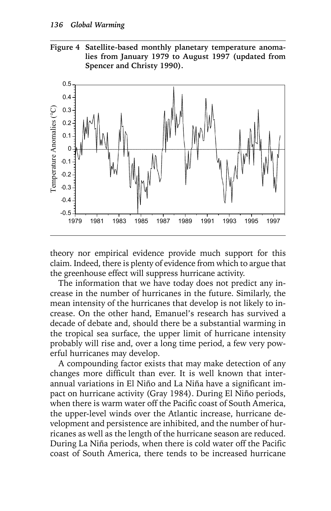



theory nor empirical evidence provide much support for this claim. Indeed, there is plenty of evidence from which to argue that the greenhouse effect will suppress hurricane activity.

The information that we have today does not predict any increase in the number of hurricanes in the future. Similarly, the mean intensity of the hurricanes that develop is not likely to increase. On the other hand, Emanuel's research has survived a decade of debate and, should there be a substantial warming in the tropical sea surface, the upper limit of hurricane intensity probably will rise and, over a long time period, a few very powerful hurricanes may develop.

A compounding factor exists that may make detection of any changes more difficult than ever. It is well known that interannual variations in El Niño and La Niña have a significant impact on hurricane activity (Gray 1984). During El Niño periods, when there is warm water off the Pacific coast of South America, the upper-level winds over the Atlantic increase, hurricane development and persistence are inhibited, and the number of hurricanes as well as the length of the hurricane season are reduced. During La Niña periods, when there is cold water off the Pacific coast of South America, there tends to be increased hurricane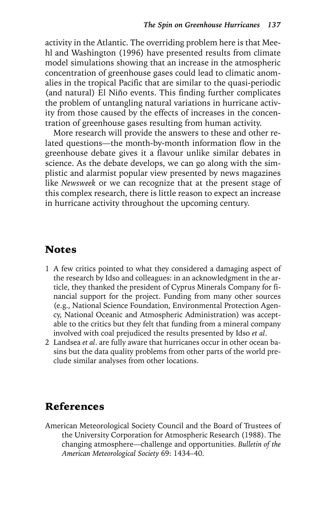activity in the Atlantic. The overriding problem here is that Meehl and Washington (1996) have presented results from climate model simulations showing that an increase in the atmospheric concentration of greenhouse gases could lead to climatic anomalies in the tropical Pacific that are similar to the quasi-periodic (and natural) El Niño events. This finding further complicates the problem of untangling natural variations in hurricane activity from those caused by the effects of increases in the concentration of greenhouse gases resulting from human activity.

More research will provide the answers to these and other related questions—the month-by-month information flow in the greenhouse debate gives it a flavour unlike similar debates in science. As the debate develops, we can go along with the simplistic and alarmist popular view presented by news magazines like *Newsweek* or we can recognize that at the present stage of this complex research, there is little reason to expect an increase in hurricane activity throughout the upcoming century.

## Notes

- 1 A few critics pointed to what they considered a damaging aspect of the research by Idso and colleagues: in an acknowledgment in the article, they thanked the president of Cyprus Minerals Company for financial support for the project. Funding from many other sources (e.g., National Science Foundation, Environmental Protection Agency, National Oceanic and Atmospheric Administration) was acceptable to the critics but they felt that funding from a mineral company involved with coal prejudiced the results presented by Idso *et al*.
- 2 Landsea *et al*. are fully aware that hurricanes occur in other ocean basins but the data quality problems from other parts of the world preclude similar analyses from other locations.

# References

American Meteorological Society Council and the Board of Trustees of the University Corporation for Atmospheric Research (1988). The changing atmosphere—challenge and opportunities. *Bulletin of the American Meteorological Society* 69: 1434–40.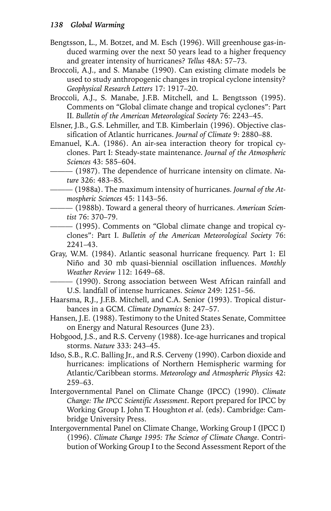- Bengtsson, L., M. Botzet, and M. Esch (1996). Will greenhouse gas-induced warming over the next 50 years lead to a higher frequency and greater intensity of hurricanes? *Tellus* 48A: 57–73.
- Broccoli, A.J., and S. Manabe (1990). Can existing climate models be used to study anthropogenic changes in tropical cyclone intensity? *Geophysical Research Letters* 17: 1917–20.
- Broccoli, A.J., S. Manabe, J.F.B. Mitchell, and L. Bengtsson (1995). Comments on "Global climate change and tropical cyclones": Part II. *Bulletin of the American Meteorological Society* 76: 2243–45.
- Elsner, J.B., G.S. Lehmiller, and T.B. Kimberlain (1996). Objective classification of Atlantic hurricanes. *Journal of Climate* 9: 2880–88.
- Emanuel, K.A. (1986). An air-sea interaction theory for tropical cyclones. Part I: Steady-state maintenance. *Journal of the Atmospheric Sciences* 43: 585–604.
- ——— (1987). The dependence of hurricane intensity on climate. *Nature* 326: 483–85.

——— (1988a). The maximum intensity of hurricanes*. Journal of the Atmospheric Sciences* 45: 1143–56.

- ——— (1988b). Toward a general theory of hurricanes. *American Scientist* 76: 370–79.
- ——— (1995). Comments on "Global climate change and tropical cyclones": Part I. *Bulletin of the American Meteorological Society* 76: 2241–43.
- Gray, W.M. (1984). Atlantic seasonal hurricane frequency. Part 1: El Niño and 30 mb quasi-biennial oscillation influences. *Monthly Weather Review* 112: 1649–68.

——— (1990). Strong association between West African rainfall and U.S. landfall of intense hurricanes. *Science* 249: 1251–56.

- Haarsma, R.J., J.F.B. Mitchell, and C.A. Senior (1993). Tropical disturbances in a GCM. *Climate Dynamics* 8: 247–57.
- Hansen, J.E. (1988). Testimony to the United States Senate, Committee on Energy and Natural Resources (June 23).
- Hobgood, J.S., and R.S. Cerveny (1988). Ice-age hurricanes and tropical storms. *Nature* 333: 243–45.
- Idso, S.B., R.C. Balling Jr., and R.S. Cerveny (1990). Carbon dioxide and hurricanes: implications of Northern Hemispheric warming for Atlantic/Caribbean storms. *Meteorology and Atmospheric Physics* 42: 259–63.
- Intergovernmental Panel on Climate Change (IPCC) (1990). *Climate Change: The IPCC Scientific Assessment*. Report prepared for IPCC by Working Group I. John T. Houghton *et al*. (eds). Cambridge: Cambridge University Press.
- Intergovernmental Panel on Climate Change, Working Group I (IPCC I) (1996). *Climate Change 1995: The Science of Climate Change*. Contribution of Working Group I to the Second Assessment Report of the